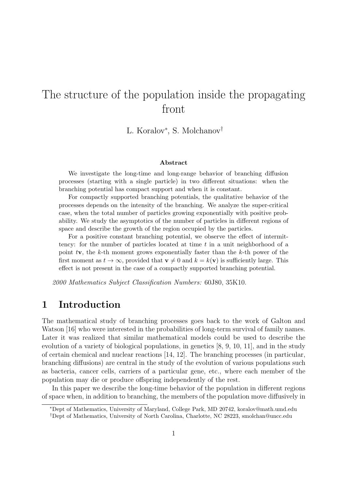# The structure of the population inside the propagating front

L. Koralov*<sup>∗</sup>* , S. Molchanov*†*

#### **Abstract**

We investigate the long-time and long-range behavior of branching diffusion processes (starting with a single particle) in two different situations: when the branching potential has compact support and when it is constant.

For compactly supported branching potentials, the qualitative behavior of the processes depends on the intensity of the branching. We analyze the super-critical case, when the total number of particles growing exponentially with positive probability. We study the asymptotics of the number of particles in different regions of space and describe the growth of the region occupied by the particles.

For a positive constant branching potential, we observe the effect of intermittency: for the number of particles located at time *t* in a unit neighborhood of a point *t***v**, the *k*-th moment grows exponentially faster than the *k*-th power of the first moment as  $t \to \infty$ , provided that  $\mathbf{v} \neq 0$  and  $k = k(\mathbf{v})$  is sufficiently large. This effect is not present in the case of a compactly supported branching potential.

*2000 Mathematics Subject Classification Numbers:* 60J80, 35K10.

### **1 Introduction**

The mathematical study of branching processes goes back to the work of Galton and Watson [16] who were interested in the probabilities of long-term survival of family names. Later it was realized that similar mathematical models could be used to describe the evolution of a variety of biological populations, in genetics [8, 9, 10, 11], and in the study of certain chemical and nuclear reactions [14, 12]. The branching processes (in particular, branching diffusions) are central in the study of the evolution of various populations such as bacteria, cancer cells, carriers of a particular gene, etc., where each member of the population may die or produce offspring independently of the rest.

In this paper we describe the long-time behavior of the population in different regions of space when, in addition to branching, the members of the population move diffusively in

*<sup>∗</sup>*Dept of Mathematics, University of Maryland, College Park, MD 20742, koralov@math.umd.edu

*<sup>†</sup>*Dept of Mathematics, University of North Carolina, Charlotte, NC 28223, smolchan@uncc.edu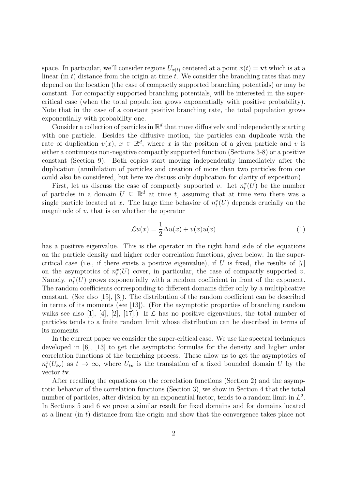space. In particular, we'll consider regions  $U_{x(t)}$  centered at a point  $x(t) = \mathbf{v}t$  which is at a linear (in *t*) distance from the origin at time *t*. We consider the branching rates that may depend on the location (the case of compactly supported branching potentials) or may be constant. For compactly supported branching potentials, will be interested in the supercritical case (when the total population grows exponentially with positive probability). Note that in the case of a constant positive branching rate, the total population grows exponentially with probability one.

Consider a collection of particles in  $\mathbb{R}^d$  that move diffusively and independently starting with one particle. Besides the diffusive motion, the particles can duplicate with the rate of duplication  $v(x)$ ,  $x \in \mathbb{R}^d$ , where *x* is the position of a given particle and *v* is either a continuous non-negative compactly supported function (Sections 3-8) or a positive constant (Section 9). Both copies start moving independently immediately after the duplication (annihilation of particles and creation of more than two particles from one could also be considered, but here we discuss only duplication for clarity of exposition).

First, let us discuss the case of compactly supported *v*. Let  $n_t^x(U)$  be the number of particles in a domain  $U \subseteq \mathbb{R}^d$  at time *t*, assuming that at time zero there was a single particle located at x. The large time behavior of  $n_t^x(U)$  depends crucially on the magnitude of *v*, that is on whether the operator

$$
\mathcal{L}u(x) = \frac{1}{2}\Delta u(x) + v(x)u(x) \tag{1}
$$

has a positive eigenvalue. This is the operator in the right hand side of the equations on the particle density and higher order correlation functions, given below. In the supercritical case (i.e., if there exists a positive eigenvalue), if *U* is fixed, the results of [7] on the asymptotics of  $n_t^x(U)$  cover, in particular, the case of compactly supported *v*. Namely,  $n_t^x(U)$  grows exponentially with a random coefficient in front of the exponent. The random coefficients corresponding to different domains differ only by a multiplicative constant. (See also [15], [3]). The distribution of the random coefficient can be described in terms of its moments (see [13]). (For the asymptotic properties of branching random walks see also [1], [4], [2], [17].) If  $\mathcal L$  has no positive eigenvalues, the total number of particles tends to a finite random limit whose distribution can be described in terms of its moments.

In the current paper we consider the super-critical case. We use the spectral techniques developed in [6], [13] to get the asymptotic formulas for the density and higher order correlation functions of the branching process. These allow us to get the asymptotics of  $n_t^x(U_{t\mathbf{v}})$  as  $t \to \infty$ , where  $U_{t\mathbf{v}}$  is the translation of a fixed bounded domain *U* by the vector *t***v**.

After recalling the equations on the correlation functions (Section 2) and the asymptotic behavior of the correlation functions (Section 3), we show in Section 4 that the total number of particles, after division by an exponential factor, tends to a random limit in  $L^2$ . In Sections 5 and 6 we prove a similar result for fixed domains and for domains located at a linear (in *t*) distance from the origin and show that the convergence takes place not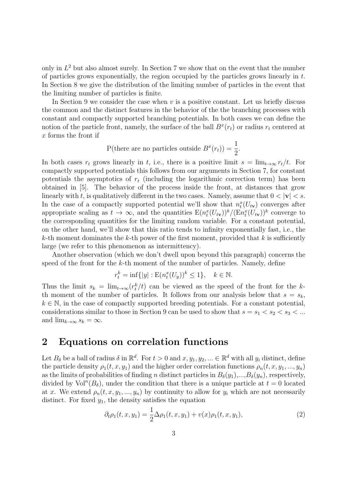only in  $L^2$  but also almost surely. In Section 7 we show that on the event that the number of particles grows exponentially, the region occupied by the particles grows linearly in *t*. In Section 8 we give the distribution of the limiting number of particles in the event that the limiting number of particles is finite.

In Section 9 we consider the case when *v* is a positive constant. Let us briefly discuss the common and the distinct features in the behavior of the the branching processes with constant and compactly supported branching potentials. In both cases we can define the notion of the particle front, namely, the surface of the ball  $B<sup>x</sup>(r<sub>t</sub>)$  or radius  $r<sub>t</sub>$  centered at *x* forms the front if

P(there are no particles outside 
$$
B^x(r_t) = \frac{1}{2}
$$
.

In both cases  $r_t$  grows linearly in *t*, i.e., there is a positive limit  $s = \lim_{t\to\infty} r_t/t$ . For compactly supported potentials this follows from our arguments in Section 7, for constant potentials the asymptotics of *r<sup>t</sup>* (including the logarithmic correction term) has been obtained in [5]. The behavior of the process inside the front, at distances that grow linearly with t, is qualitatively different in the two cases. Namely, assume that  $0 < |{\bf v}| < s$ . In the case of a compactly supported potential we'll show that  $n_t^x(U_{t\mathbf{v}})$  converges after appropriate scaling as  $t \to \infty$ , and the quantities  $E(n_t^x(U_{t\mathbf{v}}))^k / (E n_t^x(U_{t\mathbf{v}}))^k$  converge to the corresponding quantities for the limiting random variable. For a constant potential, on the other hand, we'll show that this ratio tends to infinity exponentially fast, i.e., the *k*-th moment dominates the *k*-th power of the first moment, provided that *k* is sufficiently large (we refer to this phenomenon as intermittency).

Another observation (which we don't dwell upon beyond this paragraph) concerns the speed of the front for the *k*-th moment of the number of particles. Namely, define

$$
r_t^k = \inf\{|y| : E(n_t^x(U_y))^k \le 1\}, \quad k \in \mathbb{N}.
$$

Thus the limit  $s_k = \lim_{t \to \infty} (r_t^k/t)$  can be viewed as the speed of the front for the *k*th moment of the number of particles. It follows from our analysis below that  $s = s_k$ ,  $k \in \mathbb{N}$ , in the case of compactly supported breeding potentials. For a constant potential, considerations similar to those in Section 9 can be used to show that  $s = s_1 < s_2 < s_3 < ...$ and  $\lim_{k\to\infty} s_k = \infty$ .

### **2 Equations on correlation functions**

Let  $B_{\delta}$  be a ball of radius  $\delta$  in  $\mathbb{R}^{d}$ . For  $t > 0$  and  $x, y_1, y_2, ... \in \mathbb{R}^{d}$  with all  $y_i$  distinct, define the particle density  $\rho_1(t, x, y_1)$  and the higher order correlation functions  $\rho_n(t, x, y_1, ..., y_n)$ as the limits of probabilities of finding *n* distinct particles in  $B_\delta(y_1),...,B_\delta(y_n)$ , respectively, divided by  $\text{Vol}^n(B_\delta)$ , under the condition that there is a unique particle at  $t=0$  located at *x*. We extend  $\rho_n(t, x, y_1, \ldots, y_n)$  by continuity to allow for  $y_i$  which are not necessarily distinct. For fixed *y*1, the density satisfies the equation

$$
\partial_t \rho_1(t, x, y_1) = \frac{1}{2} \Delta \rho_1(t, x, y_1) + v(x) \rho_1(t, x, y_1), \tag{2}
$$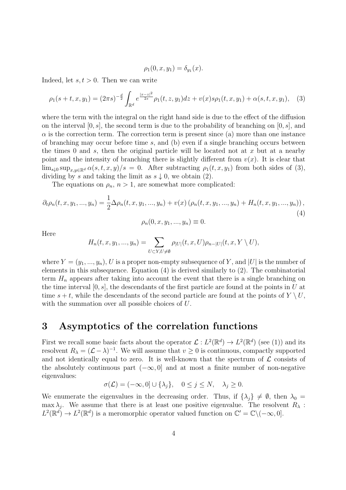$$
\rho_1(0, x, y_1) = \delta_{y_1}(x).
$$

Indeed, let  $s, t > 0$ . Then we can write

$$
\rho_1(s+t,x,y_1) = (2\pi s)^{-\frac{d}{2}} \int_{\mathbb{R}^d} e^{\frac{|x-z|^2}{2s}} \rho_1(t,z,y_1) dz + v(x) s \rho_1(t,x,y_1) + \alpha(s,t,x,y_1), \quad (3)
$$

where the term with the integral on the right hand side is due to the effect of the diffusion on the interval [0*, s*], the second term is due to the probability of branching on [0*, s*], and  $\alpha$  is the correction term. The correction term is present since (a) more than one instance of branching may occur before time *s*, and (b) even if a single branching occurs between the times 0 and *s*, then the original particle will be located not at *x* but at a nearby point and the intensity of branching there is slightly different from  $v(x)$ . It is clear that  $\lim_{s\downarrow 0} \sup_{x,y\in\mathbb{R}^d} \alpha(s,t,x,y)/s = 0.$  After subtracting  $\rho_1(t,x,y_1)$  from both sides of (3), dividing by *s* and taking the limit as  $s \downarrow 0$ , we obtain (2).

The equations on  $\rho_n$ ,  $n > 1$ , are somewhat more complicated:

$$
\partial_t \rho_n(t, x, y_1, ..., y_n) = \frac{1}{2} \Delta \rho_n(t, x, y_1, ..., y_n) + v(x) \left( \rho_n(t, x, y_1, ..., y_n) + H_n(t, x, y_1, ..., y_n) \right),
$$
  

$$
\rho_n(0, x, y_1, ..., y_n) \equiv 0.
$$
 (4)

Here

$$
H_n(t, x, y_1, ..., y_n) = \sum_{U \subset Y, U \neq \emptyset} \rho_{|U|}(t, x, U) \rho_{n-|U|}(t, x, Y \setminus U),
$$

where  $Y = (y_1, ..., y_n)$ , U is a proper non-empty subsequence of Y, and |U| is the number of elements in this subsequence. Equation (4) is derived similarly to (2). The combinatorial term  $H_n$  appears after taking into account the event that there is a single branching on the time interval [0*, s*], the descendants of the first particle are found at the points in *U* at time  $s + t$ , while the descendants of the second particle are found at the points of  $Y \setminus U$ , with the summation over all possible choices of *U*.

### **3 Asymptotics of the correlation functions**

First we recall some basic facts about the operator  $\mathcal{L}: L^2(\mathbb{R}^d) \to L^2(\mathbb{R}^d)$  (see (1)) and its resolvent  $R_{\lambda} = (\mathcal{L} - \lambda)^{-1}$ . We will assume that  $v \geq 0$  is continuous, compactly supported and not identically equal to zero. It is well-known that the spectrum of  $\mathcal L$  consists of the absolutely continuous part  $(-\infty, 0]$  and at most a finite number of non-negative eigenvalues:

$$
\sigma(\mathcal{L}) = (-\infty, 0] \cup \{\lambda_j\}, \quad 0 \le j \le N, \quad \lambda_j \ge 0.
$$

We enumerate the eigenvalues in the decreasing order. Thus, if  $\{\lambda_j\} \neq \emptyset$ , then  $\lambda_0 =$ max  $\lambda_j$ . We assume that there is at least one positive eigenvalue. The resolvent  $R_\lambda$ :  $L^2(\mathbb{R}^d) \to L^2(\mathbb{R}^d)$  is a meromorphic operator valued function on  $\mathbb{C}' = \mathbb{C} \setminus (-\infty, 0].$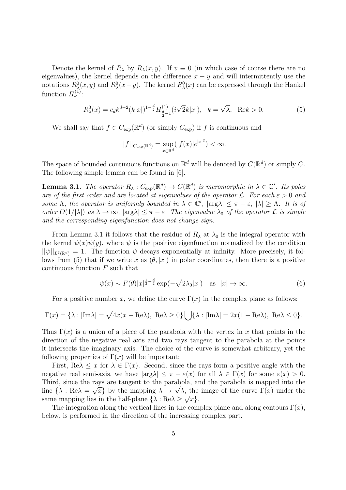Denote the kernel of  $R_\lambda$  by  $R_\lambda(x, y)$ . If  $v \equiv 0$  (in which case of course there are no eigenvalues), the kernel depends on the difference  $x - y$  and will intermittently use the notations  $R^0_\lambda(x, y)$  and  $R^0_\lambda(x - y)$ . The kernel  $R^0_\lambda(x)$  can be expressed through the Hankel function  $H_{\nu}^{(1)}$ :

$$
R_{\lambda}^{0}(x) = c_{d}k^{d-2}(k|x|)^{1-\frac{d}{2}}H_{\frac{d}{2}-1}^{(1)}(i\sqrt{2}k|x|), \quad k = \sqrt{\lambda}, \quad \text{Re}k > 0.
$$
 (5)

We shall say that  $f \in C_{\exp}(\mathbb{R}^d)$  (or simply  $C_{\exp}$ ) if *f* is continuous and

$$
||f||_{C_{\exp}(\mathbb{R}^d)} = \sup_{x \in \mathbb{R}^d} (|f(x)|e^{|x|^2}) < \infty.
$$

The space of bounded continuous functions on  $\mathbb{R}^d$  will be denoted by  $C(\mathbb{R}^d)$  or simply C. The following simple lemma can be found in [6].

**Lemma 3.1.** *The operator*  $R_{\lambda}: C_{\exp}(\mathbb{R}^d) \to C(\mathbb{R}^d)$  *is meromorphic in*  $\lambda \in \mathbb{C}'$ *. Its poles are of the first order and are located at eigenvalues of the operator*  $\mathcal{L}$ *. For each*  $\varepsilon > 0$  *and some*  $\Lambda$ *, the operator is uniformly bounded in*  $\lambda \in \mathbb{C}'$ *,*  $|\arg \lambda| \leq \pi - \varepsilon$ *,*  $|\lambda| \geq \Lambda$ *. It is of* order  $O(1/|\lambda|)$  as  $\lambda \to \infty$ ,  $|\arg \lambda| \leq \pi - \varepsilon$ . The eigenvalue  $\lambda_0$  of the operator  $\mathcal L$  is simple *and the corresponding eigenfunction does not change sign.*

From Lemma 3.1 it follows that the residue of  $R_\lambda$  at  $\lambda_0$  is the integral operator with the kernel  $\psi(x)\psi(y)$ , where  $\psi$  is the positive eigenfunction normalized by the condition  $||\psi||_{L^2(\mathbb{R}^d)} = 1$ . The function  $\psi$  decays exponentially at infinity. More precisely, it follows from (5) that if we write *x* as  $(\theta, |x|)$  in polar coordinates, then there is a positive continuous function *F* such that

$$
\psi(x) \sim F(\theta)|x|^{\frac{1}{2} - \frac{d}{2}} \exp(-\sqrt{2\lambda_0}|x|) \quad \text{as} \ \ |x| \to \infty. \tag{6}
$$

For a positive number *x*, we define the curve  $\Gamma(x)$  in the complex plane as follows:

$$
\Gamma(x) = \{\lambda : |\text{Im}\lambda| = \sqrt{4x(x - \text{Re}\lambda)}, \text{ Re}\lambda \ge 0\} \bigcup \{\lambda : |\text{Im}\lambda| = 2x(1 - \text{Re}\lambda), \text{ Re}\lambda \le 0\}.
$$

Thus  $\Gamma(x)$  is a union of a piece of the parabola with the vertex in x that points in the direction of the negative real axis and two rays tangent to the parabola at the points it intersects the imaginary axis. The choice of the curve is somewhat arbitrary, yet the following properties of  $\Gamma(x)$  will be important:

First,  $\text{Re}\lambda \leq x$  for  $\lambda \in \Gamma(x)$ . Second, since the rays form a positive angle with the negative real semi-axis, we have  $|\arg \lambda| < \pi - \varepsilon(x)$  for all  $\lambda \in \Gamma(x)$  for some  $\varepsilon(x) > 0$ . Third, since the rays are tangent to the parabola, and the parabola is mapped into the *√ √* line  $\{\lambda : \text{Re}\lambda = \sqrt{x}\}\)$  by the mapping  $\lambda \to \sqrt{\lambda}$ , the image of the curve  $\Gamma(x)$  under the same mapping lies in the half-plane  $\{\lambda : \text{Re}\lambda \geq \sqrt{x}\}.$ 

The integration along the vertical lines in the complex plane and along contours  $\Gamma(x)$ , below, is performed in the direction of the increasing complex part.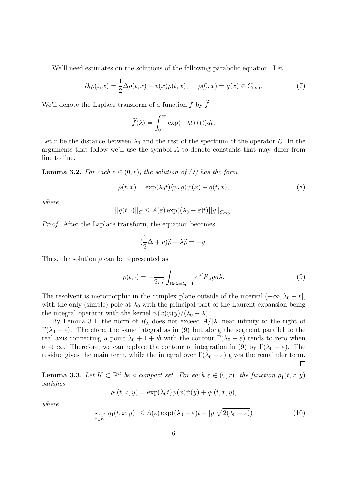We'll need estimates on the solutions of the following parabolic equation. Let

$$
\partial_t \rho(t, x) = \frac{1}{2} \Delta \rho(t, x) + v(x) \rho(t, x), \quad \rho(0, x) = g(x) \in C_{\text{exp}}.\tag{7}
$$

We'll denote the Laplace transform of a function  $f$  by  $\widetilde{f}$ ,

$$
\widetilde{f}(\lambda) = \int_0^\infty \exp(-\lambda t) f(t) dt.
$$

Let r be the distance between  $\lambda_0$  and the rest of the spectrum of the operator  $\mathcal{L}$ . In the arguments that follow we'll use the symbol *A* to denote constants that may differ from line to line.

**Lemma 3.2.** *For each*  $\varepsilon \in (0, r)$ *, the solution of (7) has the form* 

$$
\rho(t,x) = \exp(\lambda_0 t) \langle \psi, g \rangle \psi(x) + q(t,x), \tag{8}
$$

*where*

$$
||q(t, \cdot)||_C \leq A(\varepsilon) \exp((\lambda_0 - \varepsilon)t)||g||_{C_{\exp}}.
$$

*Proof.* After the Laplace transform, the equation becomes

$$
(\frac{1}{2}\Delta + v)\widetilde{\rho} - \lambda \widetilde{\rho} = -g.
$$

Thus, the solution *ρ* can be represented as

$$
\rho(t,\cdot) = -\frac{1}{2\pi i} \int_{\text{Re}\lambda = \lambda_0 + 1} e^{\lambda t} R_{\lambda} g d\lambda. \tag{9}
$$

The resolvent is meromorphic in the complex plane outside of the interval  $(-\infty, \lambda_0 - r]$ , with the only (simple) pole at  $\lambda_0$  with the principal part of the Laurent expansion being the integral operator with the kernel  $\psi(x)\psi(y)/(\lambda_0 - \lambda)$ .

By Lemma 3.1, the norm of  $R_\lambda$  does not exceed  $A/|\lambda|$  near infinity to the right of  $Γ(λ<sub>0</sub> − ε)$ . Therefore, the same integral as in (9) but along the segment parallel to the real axis connecting a point  $\lambda_0 + 1 + ib$  with the contour  $\Gamma(\lambda_0 - \varepsilon)$  tends to zero when  $b \to \infty$ . Therefore, we can replace the contour of integration in (9) by  $\Gamma(\lambda_0 - \varepsilon)$ . The residue gives the main term, while the integral over  $\Gamma(\lambda_0 - \varepsilon)$  gives the remainder term.  $\Box$ 

**Lemma 3.3.** *Let*  $K \subset \mathbb{R}^d$  *be a compact set. For each*  $\varepsilon \in (0, r)$ *, the function*  $\rho_1(t, x, y)$ *satisfies*

$$
\rho_1(t, x, y) = \exp(\lambda_0 t)\psi(x)\psi(y) + q_1(t, x, y),
$$

*where*

$$
\sup_{x \in K} |q_1(t, x, y)| \le A(\varepsilon) \exp((\lambda_0 - \varepsilon)t - |y|\sqrt{2(\lambda_0 - \varepsilon)})
$$
\n(10)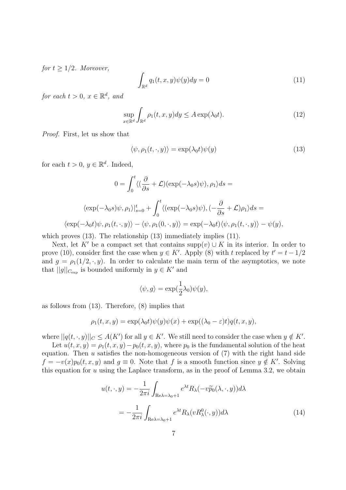*for*  $t > 1/2$ *. Moreover,* 

$$
\int_{\mathbb{R}^d} q_1(t, x, y)\psi(y)dy = 0\tag{11}
$$

*for each*  $t > 0$ ,  $x \in \mathbb{R}^d$ , and

$$
\sup_{x \in \mathbb{R}^d} \int_{\mathbb{R}^d} \rho_1(t, x, y) dy \le A \exp(\lambda_0 t). \tag{12}
$$

*Proof.* First, let us show that

$$
\langle \psi, \rho_1(t, \cdot, y) \rangle = \exp(\lambda_0 t) \psi(y) \tag{13}
$$

for each  $t > 0$ ,  $y \in \mathbb{R}^d$ . Indeed,

$$
0 = \int_0^t \langle (\frac{\partial}{\partial s} + \mathcal{L})(\exp(-\lambda_0 s)\psi), \rho_1 \rangle ds =
$$
  

$$
\langle \exp(-\lambda_0 s)\psi, \rho_1 \rangle|_{s=0}^t + \int_0^t \langle (\exp(-\lambda_0 s)\psi), (-\frac{\partial}{\partial s} + \mathcal{L})\rho_1 \rangle ds =
$$
  

$$
\langle \exp(-\lambda_0 t)\psi, \rho_1(t, \cdot, y) \rangle - \langle \psi, \rho_1(0, \cdot, y) \rangle = \exp(-\lambda_0 t) \langle \psi, \rho_1(t, \cdot, y) \rangle - \psi(y),
$$

which proves  $(13)$ . The relationship  $(13)$  immediately implies  $(11)$ .

Next, let *K'* be a compact set that contains supp $(v) \cup K$  in its interior. In order to prove (10), consider first the case when  $y \in K'$ . Apply (8) with *t* replaced by  $t' = t - 1/2$ and  $g = \rho_1(1/2, \cdot, y)$ . In order to calculate the main term of the asymptotics, we note that  $||g||_{C_{exp}}$  is bounded uniformly in  $y \in K'$  and

$$
\langle \psi, g \rangle = \exp(\frac{1}{2}\lambda_0)\psi(y),
$$

as follows from (13). Therefore, (8) implies that

$$
\rho_1(t, x, y) = \exp(\lambda_0 t) \psi(y) \psi(x) + \exp((\lambda_0 - \varepsilon)t) q(t, x, y),
$$

where  $||q(t,\cdot,y)||_C \leq A(K')$  for all  $y \in K'$ . We still need to consider the case when  $y \notin K'$ .

Let  $u(t, x, y) = \rho_1(t, x, y) - p_0(t, x, y)$ , where  $p_0$  is the fundamental solution of the heat equation. Then *u* satisfies the non-homogeneous version of (7) with the right hand side  $f = -v(x)p_0(t, x, y)$  and  $g \equiv 0$ . Note that *f* is a smooth function since  $y \notin K'$ . Solving this equation for *u* using the Laplace transform, as in the proof of Lemma 3.2, we obtain

$$
u(t, \cdot, y) = -\frac{1}{2\pi i} \int_{\text{Re}\lambda = \lambda_0 + 1} e^{\lambda t} R_{\lambda}(-v\widetilde{p}_0(\lambda, \cdot, y)) d\lambda
$$

$$
= -\frac{1}{2\pi i} \int_{\text{Re}\lambda = \lambda_0 + 1} e^{\lambda t} R_{\lambda}(vR_{\lambda}^0(\cdot, y)) d\lambda
$$
(14)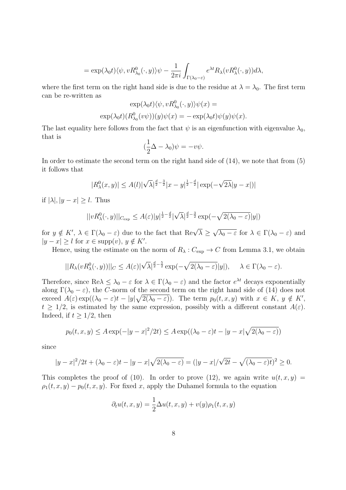$$
= \exp(\lambda_0 t) \langle \psi, v R^0_{\lambda_0}(\cdot, y) \rangle \psi - \frac{1}{2\pi i} \int_{\Gamma(\lambda_0 - \varepsilon)} e^{\lambda t} R_\lambda(v R^0_\lambda(\cdot, y)) d\lambda,
$$

where the first term on the right hand side is due to the residue at  $\lambda = \lambda_0$ . The first term can be re-written as

$$
\exp(\lambda_0 t)\langle \psi, vR^0_{\lambda_0}(\cdot, y)\rangle \psi(x) =
$$
  
 
$$
\exp(\lambda_0 t)(R^0_{\lambda_0}(v\psi))(y)\psi(x) = -\exp(\lambda_0 t)\psi(y)\psi(x).
$$

The last equality here follows from the fact that  $\psi$  is an eigenfunction with eigenvalue  $\lambda_0$ , that is

$$
(\frac{1}{2}\Delta - \lambda_0)\psi = -v\psi.
$$

In order to estimate the second term on the right hand side of (14), we note that from (5) it follows that

$$
|R^0_\lambda(x,y)| \le A(l)|\sqrt{\lambda}|^{\frac{d}{2}-\frac{3}{2}}|x-y|^{\frac{1}{2}-\frac{d}{2}}|\exp(-\sqrt{2\lambda}|y-x|)|
$$

if  $|\lambda|, |y - x| \geq l$ . Thus

$$
||vR_{\lambda}^{0}(\cdot,y)||_{C_{\exp}} \leq A(\varepsilon)|y|^{\frac{1}{2}-\frac{d}{2}}|\sqrt{\lambda}|^{\frac{d}{2}-\frac{3}{2}}\exp(-\sqrt{2(\lambda_0-\varepsilon)}|y|)
$$

for  $y \notin K'$ ,  $\lambda \in \Gamma(\lambda_0 - \varepsilon)$  due to the fact that  $\text{Re}\sqrt{\lambda} \ge$ *√ λ*<sub>0</sub> *− ε* for  $λ ∈ Γ(λ₀ − ε)$  and *|y* − *x*| ≥ *l* for *x*  $\in$  supp(*v*), *y*  $\notin$  *K<sup>'</sup>*.

Hence, using the estimate on the norm of  $R_{\lambda}: C_{\exp} \to C$  from Lemma 3.1, we obtain

$$
||R_{\lambda}(vR_{\lambda}^{0}(\cdot,y))||_{C} \leq A(\varepsilon)|\sqrt{\lambda}|^{\frac{d}{2}-\frac{5}{2}}\exp(-\sqrt{2(\lambda_{0}-\varepsilon)}|y|), \quad \lambda \in \Gamma(\lambda_{0}-\varepsilon).
$$

Therefore, since  $\text{Re}\lambda \leq \lambda_0 - \varepsilon$  for  $\lambda \in \Gamma(\lambda_0 - \varepsilon)$  and the factor  $e^{\lambda t}$  decays exponentially along  $\Gamma(\lambda_0 - \varepsilon)$ , the *C*-norm of the second term on the right hand side of (14) does not exceed  $A(\varepsilon) \exp((\lambda_0 - \varepsilon)t - |y|\sqrt{2(\lambda_0 - \varepsilon)})$ . The term  $p_0(t, x, y)$  with  $x \in K$ ,  $y \notin K'$ ,  $t \geq 1/2$ , is estimated by the same expression, possibly with a different constant  $A(\varepsilon)$ . Indeed, if  $t \geq 1/2$ , then

$$
p_0(t, x, y) \le A \exp(-|y - x|^2/2t) \le A \exp((\lambda_0 - \varepsilon)t - |y - x|\sqrt{2(\lambda_0 - \varepsilon)})
$$

since

$$
|y-x|^2/2t+(\lambda_0-\varepsilon)t-|y-x|\sqrt{2(\lambda_0-\varepsilon)}=(|y-x|/\sqrt{2t}-\sqrt{(\lambda_0-\varepsilon)t})^2\geq 0.
$$

This completes the proof of (10). In order to prove (12), we again write  $u(t, x, y) =$  $\rho_1(t, x, y) - p_0(t, x, y)$ . For fixed *x*, apply the Duhamel formula to the equation

$$
\partial_t u(t, x, y) = \frac{1}{2} \Delta u(t, x, y) + v(y) \rho_1(t, x, y)
$$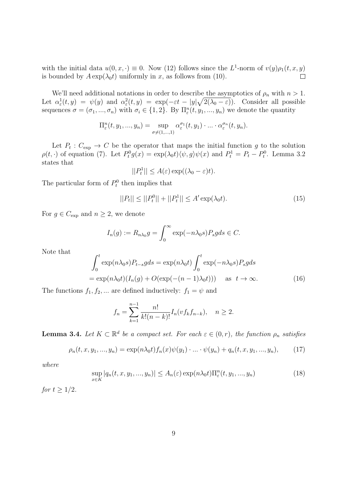with the initial data  $u(0, x, \cdot) \equiv 0$ . Now (12) follows since the *L*<sup>1</sup>-norm of  $v(y)\rho_1(t, x, y)$ is bounded by  $A \exp(\lambda_0 t)$  uniformly in *x*, as follows from (10).  $\Box$ 

We'll need additional notations in order to describe the asymptotics of  $\rho_n$  with  $n > 1$ . Let  $\alpha_{\varepsilon}^1(t, y) = \psi(y)$  and  $\alpha_{\varepsilon}^2(t, y) = \exp(-\varepsilon t - |y|\sqrt{2(\lambda_0 - \varepsilon)})$ . Consider all possible sequences  $\sigma = (\sigma_1, ..., \sigma_n)$  with  $\sigma_i \in \{1, 2\}$ . By  $\Pi_{\varepsilon}^n(t, y_1, ..., y_n)$  we denote the quantity

$$
\Pi_{\varepsilon}^{n}(t, y_{1}, ..., y_{n}) = \sup_{\sigma \neq (1, ..., 1)} \alpha_{\varepsilon}^{\sigma_{1}}(t, y_{1}) \cdot ... \cdot \alpha_{\varepsilon}^{\sigma_{n}}(t, y_{n}).
$$

Let  $P_t: C_{\text{exp}} \to C$  be the operator that maps the initial function g to the solution  $\rho(t, \cdot)$  of equation (7). Let  $P_t^0 g(x) = \exp(\lambda_0 t) \langle \psi, g \rangle \psi(x)$  and  $P_t^1 = P_t - P_t^0$ . Lemma 3.2 states that

$$
||P_t^1|| \le A(\varepsilon) \exp((\lambda_0 - \varepsilon)t).
$$

The particular form of  $P_t^0$  then implies that

$$
||P_t|| \le ||P_t^0|| + ||P_t^1|| \le A' \exp(\lambda_0 t). \tag{15}
$$

For  $g \in C_{\text{exp}}$  and  $n \geq 2$ , we denote

$$
I_n(g) := R_{n\lambda_0}g = \int_0^\infty \exp(-n\lambda_0 s) P_s g ds \in C.
$$

Note that

$$
\int_0^t \exp(n\lambda_0 s) P_{t-s} g ds = \exp(n\lambda_0 t) \int_0^t \exp(-n\lambda_0 s) P_s g ds
$$
  
=  $\exp(n\lambda_0 t) (I_n(g) + O(\exp(-(n-1)\lambda_0 t)))$  as  $t \to \infty$ . (16)

The functions  $f_1, f_2, \dots$  are defined inductively:  $f_1 = \psi$  and

$$
f_n = \sum_{k=1}^{n-1} \frac{n!}{k!(n-k)!} I_n(vf_kf_{n-k}), \quad n \ge 2.
$$

**Lemma 3.4.** *Let*  $K \subset \mathbb{R}^d$  *be a compact set. For each*  $\varepsilon \in (0, r)$ *, the function*  $\rho_n$  *satisfies* 

$$
\rho_n(t, x, y_1, ..., y_n) = \exp(n\lambda_0 t) f_n(x) \psi(y_1) \cdot ... \cdot \psi(y_n) + q_n(t, x, y_1, ..., y_n), \quad (17)
$$

*where*

$$
\sup_{x \in K} |q_n(t, x, y_1, \dots, y_n)| \le A_n(\varepsilon) \exp(n\lambda_0 t) \Pi_{\varepsilon}^n(t, y_1, \dots, y_n)
$$
\n(18)

*for*  $t > 1/2$ *.*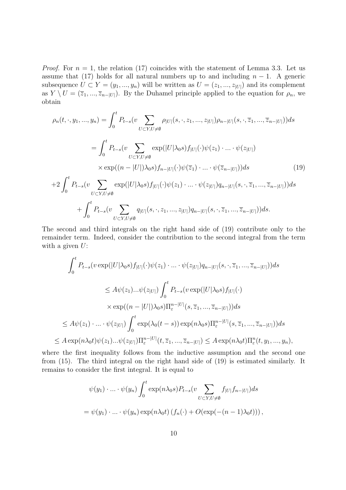*Proof.* For  $n = 1$ , the relation (17) coincides with the statement of Lemma 3.3. Let us assume that (17) holds for all natural numbers up to and including  $n-1$ . A generic subsequence  $U \subset Y = (y_1, ..., y_n)$  will be written as  $U = (z_1, ..., z_{|U|})$  and its complement as  $Y \setminus U = (\overline{z}_1, ..., \overline{z}_{n-|U|})$ . By the Duhamel principle applied to the equation for  $\rho_n$ , we obtain

$$
\rho_n(t, \cdot, y_1, ..., y_n) = \int_0^t P_{t-s}(v \sum_{U \subset Y, U \neq \emptyset} \rho_{|U|}(s, \cdot, z_1, ..., z_{|U|}) \rho_{n-|U|}(s, \cdot, \overline{z}_1, ..., \overline{z}_{n-|U|})) ds
$$
  
\n
$$
= \int_0^t P_{t-s}(v \sum_{U \subset Y, U \neq \emptyset} \exp(|U|\lambda_0 s) f_{|U|}(\cdot) \psi(z_1) \cdot ... \cdot \psi(z_{|U|})
$$
  
\n
$$
\times \exp((n - |U|)\lambda_0 s) f_{n-|U|}(\cdot) \psi(\overline{z}_1) \cdot ... \cdot \psi(\overline{z}_{n-|U|})) ds
$$
  
\n
$$
+ 2 \int_0^t P_{t-s}(v \sum_{U \subset Y, U \neq \emptyset} \exp(|U|\lambda_0 s) f_{|U|}(\cdot) \psi(z_1) \cdot ... \cdot \psi(z_{|U|}) q_{n-|U|}(s, \cdot, \overline{z}_1, ..., \overline{z}_{n-|U|})) ds
$$
  
\n
$$
+ \int_0^t P_{t-s}(v \sum_{U \subset Y, U \neq \emptyset} q_{|U|}(s, \cdot, z_1, ..., z_{|U|}) q_{n-|U|}(s, \cdot, \overline{z}_1, ..., \overline{z}_{n-|U|})) ds.
$$
  
\n(19)

The second and third integrals on the right hand side of (19) contribute only to the remainder term. Indeed, consider the contribution to the second integral from the term with a given *U*:

$$
\int_0^t P_{t-s}(v \exp(|U|\lambda_0 s) f_{|U|}(\cdot) \psi(z_1) \cdot \ldots \cdot \psi(z_{|U|}) q_{n-|U|}(s, \cdot, \overline{z}_1, \ldots, \overline{z}_{n-|U|})) ds
$$
  
\n
$$
\leq A \psi(z_1) \ldots \psi(z_{|U|}) \int_0^t P_{t-s}(v \exp(|U|\lambda_0 s) f_{|U|}(\cdot)
$$
  
\n
$$
\times \exp((n-|U|)\lambda_0 s) \Pi_{\varepsilon}^{n-|U|}(s, \overline{z}_1, \ldots, \overline{z}_{n-|U|})) ds
$$
  
\n
$$
\leq A \psi(z_1) \cdot \ldots \cdot \psi(z_{|U|}) \int_0^t \exp(\lambda_0(t-s)) \exp(n\lambda_0 s) \Pi_{\varepsilon}^{n-|U|}(s, \overline{z}_1, \ldots, \overline{z}_{n-|U|})) ds
$$
  
\n
$$
\leq A \exp(n\lambda_0 t) \psi(z_1) \ldots \psi(z_{|U|}) \Pi_{\varepsilon}^{n-|U|}(t, \overline{z}_1, \ldots, \overline{z}_{n-|U|}) \leq A \exp(n\lambda_0 t) \Pi_{\varepsilon}^n(t, y_1, \ldots, y_n),
$$

where the first inequality follows from the inductive assumption and the second one from (15). The third integral on the right hand side of (19) is estimated similarly. It remains to consider the first integral. It is equal to

$$
\psi(y_1) \cdot \ldots \cdot \psi(y_n) \int_0^t \exp(n\lambda_0 s) P_{t-s}(v \sum_{U \subset Y, U \neq \emptyset} f_{|U|} f_{n-|U|}) ds
$$
  
=  $\psi(y_1) \cdot \ldots \cdot \psi(y_n) \exp(n\lambda_0 t) (f_n(\cdot) + O(\exp(-(n-1)\lambda_0 t)))$ ,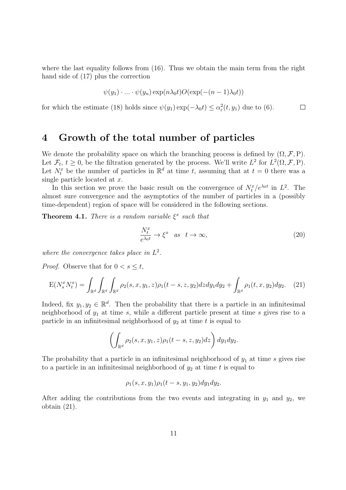where the last equality follows from  $(16)$ . Thus we obtain the main term from the right hand side of (17) plus the correction

$$
\psi(y_1)\cdot\ldots\cdot\psi(y_n)\exp(n\lambda_0 t)O(\exp(-(n-1)\lambda_0 t))
$$

for which the estimate (18) holds since  $\psi(y_1) \exp(-\lambda_0 t) \leq \alpha_{\varepsilon}^2(t, y_1)$  due to (6).  $\Box$ 

### **4 Growth of the total number of particles**

We denote the probability space on which the branching process is defined by  $(\Omega, \mathcal{F}, P)$ . Let  $\mathcal{F}_t$ ,  $t \geq 0$ , be the filtration generated by the process. We'll write  $L^2$  for  $L^2(\Omega, \mathcal{F}, P)$ . Let  $N_t^x$  be the number of particles in  $\mathbb{R}^d$  at time *t*, assuming that at  $t = 0$  there was a single particle located at *x*.

In this section we prove the basic result on the convergence of  $N_t^x/e^{\lambda_0 t}$  in  $L^2$ . The almost sure convergence and the asymptotics of the number of particles in a (possibly time-dependent) region of space will be considered in the following sections.

**Theorem 4.1.** *There is a random variable*  $\xi^x$  *such that* 

$$
\frac{N_t^x}{e^{\lambda_0 t}} \to \xi^x \quad as \quad t \to \infty,\tag{20}
$$

where the convergence takes place in  $L^2$ .

*Proof.* Observe that for  $0 < s \leq t$ ,

$$
E(N_s^x N_t^x) = \int_{\mathbb{R}^d} \int_{\mathbb{R}^d} \rho_2(s, x, y_1, z) \rho_1(t - s, z, y_2) dz dy_1 dy_2 + \int_{\mathbb{R}^d} \rho_1(t, x, y_2) dy_2.
$$
 (21)

Indeed, fix  $y_1, y_2 \in \mathbb{R}^d$ . Then the probability that there is a particle in an infinitesimal neighborhood of *y*<sup>1</sup> at time *s*, while a different particle present at time *s* gives rise to a particle in an infinitesimal neighborhood of  $y_2$  at time  $t$  is equal to

$$
\left(\int_{\mathbb{R}^d} \rho_2(s,x,y_1,z)\rho_1(t-s,z,y_2)dz\right)dy_1dy_2.
$$

The probability that a particle in an infinitesimal neighborhood of  $y_1$  at time  $s$  gives rise to a particle in an infinitesimal neighborhood of  $y_2$  at time  $t$  is equal to

$$
\rho_1(s, x, y_1)\rho_1(t-s, y_1, y_2)dy_1dy_2.
$$

After adding the contributions from the two events and integrating in  $y_1$  and  $y_2$ , we obtain (21).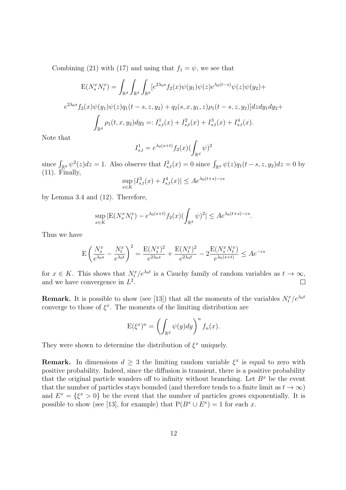Combining (21) with (17) and using that  $f_1 = \psi$ , we see that

$$
E(N_s^x N_t^x) = \int_{\mathbb{R}^d} \int_{\mathbb{R}^d} \int_{\mathbb{R}^d} [e^{2\lambda_0 s} f_2(x) \psi(y_1) \psi(z) e^{\lambda_0 (t-s)} \psi(z) \psi(y_2) +
$$
  

$$
e^{2\lambda_0 s} f_2(x) \psi(y_1) \psi(z) q_1(t-s, z, y_2) + q_2(s, x, y_1, z) \rho_1(t-s, z, y_2) ] dz dy_1 dy_2 +
$$
  

$$
\int_{\mathbb{R}^d} \rho_1(t, x, y_2) dy_2 =: I_{s,t}^1(x) + I_{s,t}^2(x) + I_{s,t}^3(x) + I_{s,t}^4(x).
$$

Note that

$$
I_{s,t}^1 = e^{\lambda_0(s+t)} f_2(x) (\int_{\mathbb{R}^d} \psi)^2
$$

since  $\int_{\mathbb{R}^d} \psi^2(z) dz = 1$ . Also observe that  $I_{s,t}^2(x) = 0$  since  $\int_{\mathbb{R}^d} \psi(z) q_1(t-s, z, y_2) dz = 0$  by (11). Finally,

$$
\sup_{x \in K} |I_{s,t}^3(x) + I_{s,t}^4(x)| \le A e^{\lambda_0(t+s) - \varepsilon s}
$$

by Lemma 3.4 and (12). Therefore,

$$
\sup_{x \in K} |E(N_s^x N_t^x) - e^{\lambda_0(s+t)} f_2(x) (\int_{\mathbb{R}^d} \psi)^2| \leq A e^{\lambda_0(t+s) - \varepsilon s}.
$$

Thus we have

$$
\mathcal{E}\left(\frac{N_s^x}{e^{\lambda_0 s}} - \frac{N_t^x}{e^{\lambda_0 t}}\right)^2 = \frac{\mathcal{E}(N_s^x)^2}{e^{2\lambda_0 s}} + \frac{\mathcal{E}(N_t^x)^2}{e^{2\lambda_0 t}} - 2\frac{\mathcal{E}(N_s^x N_t^x)}{e^{\lambda_0 (s+t)}} \le A e^{-\varepsilon s}
$$

for  $x \in K$ . This shows that  $N_t^x/e^{\lambda_0 t}$  is a Cauchy family of random variables as  $t \to \infty$ , and we have convergence in  $L^2$ .  $\Box$ 

**Remark.** It is possible to show (see [13]) that all the moments of the variables  $N_t^x/e^{\lambda_0 t}$ converge to those of  $\xi^x$ . The moments of the limiting distribution are

$$
E(\xi^x)^n = \left(\int_{\mathbb{R}^d} \psi(y) dy\right)^n f_n(x).
$$

They were shown to determine the distribution of  $\xi^x$  uniquely.

**Remark.** In dimensions  $d \geq 3$  the limiting random variable  $\xi^x$  is equal to zero with positive probability. Indeed, since the diffusion is transient, there is a positive probability that the original particle wanders off to infinity without branching. Let  $B<sup>x</sup>$  be the event that the number of particles stays bounded (and therefore tends to a finite limit as  $t \to \infty$ ) and  $E^x = \{\xi^x > 0\}$  be the event that the number of particles grows exponentially. It is possible to show (see [13], for example) that  $P(B^x \cup E^x) = 1$  for each *x*.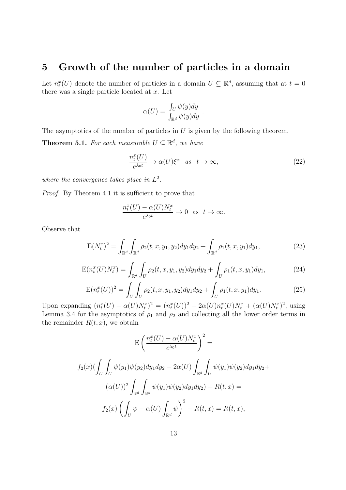## **5 Growth of the number of particles in a domain**

Let  $n_t^x(U)$  denote the number of particles in a domain  $U \subseteq \mathbb{R}^d$ , assuming that at  $t = 0$ there was a single particle located at *x*. Let

$$
\alpha(U) = \frac{\int_U \psi(y) dy}{\int_{\mathbb{R}^d} \psi(y) dy}.
$$

The asymptotics of the number of particles in *U* is given by the following theorem.

**Theorem 5.1.** *For each measurable*  $U \subseteq \mathbb{R}^d$ *, we have* 

$$
\frac{n_t^x(U)}{e^{\lambda_0 t}} \to \alpha(U)\xi^x \quad as \quad t \to \infty,
$$
\n(22)

where the convergence takes place in  $L^2$ .

*Proof.* By Theorem 4.1 it is sufficient to prove that

$$
\frac{n_t^x(U) - \alpha(U)N_t^x}{e^{\lambda_0 t}} \to 0 \text{ as } t \to \infty.
$$

Observe that

$$
E(N_t^x)^2 = \int_{\mathbb{R}^d} \int_{\mathbb{R}^d} \rho_2(t, x, y_1, y_2) dy_1 dy_2 + \int_{\mathbb{R}^d} \rho_1(t, x, y_1) dy_1,
$$
 (23)

$$
E(n_t^x(U)N_t^x) = \int_{\mathbb{R}^d} \int_U \rho_2(t, x, y_1, y_2) dy_1 dy_2 + \int_U \rho_1(t, x, y_1) dy_1,
$$
\n(24)

$$
E(n_t^x(U))^2 = \int_U \int_U \rho_2(t, x, y_1, y_2) dy_1 dy_2 + \int_U \rho_1(t, x, y_1) dy_1.
$$
 (25)

Upon expanding  $(n_t^x(U) - \alpha(U)N_t^x)^2 = (n_t^x(U))^2 - 2\alpha(U)n_t^x(U)N_t^x + (\alpha(U)N_t^x)^2$ , using Lemma 3.4 for the asymptotics of  $\rho_1$  and  $\rho_2$  and collecting all the lower order terms in the remainder  $R(t, x)$ , we obtain

$$
E\left(\frac{n_t^x(U) - \alpha(U)N_t^x}{e^{\lambda_0 t}}\right)^2 =
$$
  

$$
f_2(x)\left(\int_U \int_U \psi(y_1)\psi(y_2)dy_1dy_2 - 2\alpha(U)\int_{\mathbb{R}^d} \int_U \psi(y_1)\psi(y_2)dy_1dy_2 +
$$
  

$$
(\alpha(U))^2 \int_{\mathbb{R}^d} \int_{\mathbb{R}^d} \psi(y_1)\psi(y_2)dy_1dy_2 + R(t, x) =
$$
  

$$
f_2(x)\left(\int_U \psi - \alpha(U)\int_{\mathbb{R}^d} \psi\right)^2 + R(t, x) = R(t, x),
$$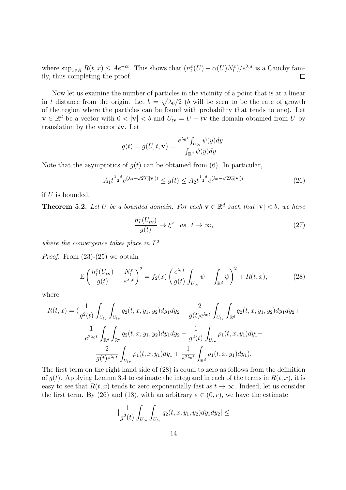where  $\sup_{x \in K} R(t, x) \leq Ae^{-\varepsilon t}$ . This shows that  $\left(n_t^x(U) - \alpha(U)N_t^x\right)/e^{\lambda_0 t}$  is a Cauchy family, thus completing the proof.  $\Box$ 

Now let us examine the number of particles in the vicinity of a point that is at a linear in *t* distance from the origin. Let  $b = \sqrt{\lambda_0/2}$  (*b* will be seen to be the rate of growth of the region where the particles can be found with probability that tends to one). Let **v** ∈  $\mathbb{R}^d$  be a vector with 0 <  $|\mathbf{v}|$  < *b* and  $U_t$ **v** = *U* + *t***v** the domain obtained from *U* by translation by the vector *t***v**. Let

$$
g(t) = g(U, t, \mathbf{v}) = \frac{e^{\lambda_0 t} \int_{U_{t\mathbf{v}}} \psi(y) dy}{\int_{\mathbb{R}^d} \psi(y) dy}.
$$

Note that the asymptotics of  $g(t)$  can be obtained from (6). In particular,

$$
A_1 t^{\frac{1-d}{2}} e^{(\lambda_0 - \sqrt{2\lambda_0}|\mathbf{v}|)t} \le g(t) \le A_2 t^{\frac{1-d}{2}} e^{(\lambda_0 - \sqrt{2\lambda_0}|\mathbf{v}|)t}
$$
(26)

if *U* is bounded.

**Theorem 5.2.** Let U be a bounded domain. For each  $\mathbf{v} \in \mathbb{R}^d$  such that  $|\mathbf{v}| < b$ , we have

$$
\frac{n_t^x(U_{t\mathbf{v}})}{g(t)} \to \xi^x \quad as \quad t \to \infty,\tag{27}
$$

where the convergence takes place in  $L^2$ .

*Proof.* From  $(23)-(25)$  we obtain

$$
\mathcal{E}\left(\frac{n_t^x(U_{t\mathbf{v}})}{g(t)} - \frac{N_t^x}{e^{\lambda_0 t}}\right)^2 = f_2(x)\left(\frac{e^{\lambda_0 t}}{g(t)}\int_{U_{t\mathbf{v}}} \psi - \int_{\mathbb{R}^d} \psi\right)^2 + R(t, x),\tag{28}
$$

where

$$
R(t,x) = \left(\frac{1}{g^2(t)} \int_{U_{\text{tv}}} \int_{U_{\text{tv}}} q_2(t,x,y_1,y_2) dy_1 dy_2 - \frac{2}{g(t)e^{\lambda_0 t}} \int_{U_{\text{tv}}} \int_{\mathbb{R}^d} q_2(t,x,y_1,y_2) dy_1 dy_2 + \frac{1}{e^{2\lambda_0 t}} \int_{\mathbb{R}^d} \int_{\mathbb{R}^d} q_2(t,x,y_1,y_2) dy_1 dy_2 + \frac{1}{g^2(t)} \int_{U_{\text{tv}}} \rho_1(t,x,y_1) dy_1 - \frac{2}{g(t)e^{\lambda_0 t}} \int_{U_{\text{tv}}} \rho_1(t,x,y_1) dy_1 + \frac{1}{e^{2\lambda_0 t}} \int_{\mathbb{R}^d} \rho_1(t,x,y_1) dy_1.
$$

The first term on the right hand side of (28) is equal to zero as follows from the definition of  $g(t)$ . Applying Lemma 3.4 to estimate the integrand in each of the terms in  $R(t, x)$ , it is easy to see that  $R(t, x)$  tends to zero exponentially fast as  $t \to \infty$ . Indeed, let us consider the first term. By (26) and (18), with an arbitrary  $\varepsilon \in (0, r)$ , we have the estimate

$$
|\frac{1}{g^{2}(t)}\int_{U_{t\mathbf{v}}}\int_{U_{t\mathbf{v}}}q_{2}(t,x,y_{1},y_{2})dy_{1}dy_{2}|\leq
$$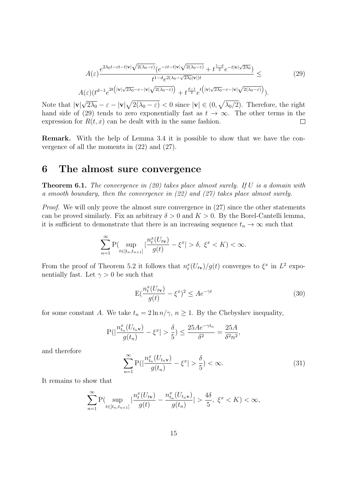$$
A(\varepsilon) \frac{e^{2\lambda_0 t - \varepsilon t - t|\mathbf{v}|\sqrt{2(\lambda_0 - \varepsilon)}} (e^{-\varepsilon t - t|\mathbf{v}|\sqrt{2(\lambda_0 - \varepsilon)}} + t^{\frac{1-d}{2}} e^{-t|\mathbf{v}|\sqrt{2\lambda_0}})}{t^{1-d} e^{2(\lambda_0 - \sqrt{2\lambda_0}|\mathbf{v}|)t}} \leq (29)
$$
  

$$
A(\varepsilon) (t^{d-1} e^{2t(|\mathbf{v}|\sqrt{2\lambda_0} - \varepsilon - |\mathbf{v}|\sqrt{2(\lambda_0 - \varepsilon)}}) + t^{\frac{d-1}{2}} e^{t(|\mathbf{v}|\sqrt{2\lambda_0} - \varepsilon - |\mathbf{v}|\sqrt{2(\lambda_0 - \varepsilon)}}).
$$

 $2\lambda_0 - \varepsilon - |\mathbf{v}| \sqrt{2(\lambda_0 - \varepsilon)} < 0$  since  $|\mathbf{v}| \in (0, \sqrt{\lambda_0/2})$ . Therefore, the right Note that *|***v***|* hand side of (29) tends to zero exponentially fast as  $t \to \infty$ . The other terms in the expression for  $R(t, x)$  can be dealt with in the same fashion.  $\Box$ 

**Remark.** With the help of Lemma 3.4 it is possible to show that we have the convergence of all the moments in (22) and (27).

#### **6 The almost sure convergence**

**Theorem 6.1.** *The convergence in (20) takes place almost surely. If U is a domain with a smooth boundary, then the convergence in (22) and (27) takes place almost surely.*

*Proof.* We will only prove the almost sure convergence in (27) since the other statements can be proved similarly. Fix an arbitrary  $\delta > 0$  and  $K > 0$ . By the Borel-Cantelli lemma, it is sufficient to demonstrate that there is an increasing sequence  $t_n \to \infty$  such that

$$
\sum_{n=1}^{\infty} \mathbf{P}\left(\sup_{t \in [t_n, t_{n+1}]} \left|\frac{n_t^x(U_{t\mathbf{v}})}{g(t)} - \xi^x\right| > \delta, \ \xi^x < K) < \infty.
$$

From the proof of Theorem 5.2 it follows that  $n_t^x(U_{t\mathbf{v}})/g(t)$  converges to  $\xi^x$  in  $L^2$  exponentially fast. Let  $\gamma > 0$  be such that

$$
E\left(\frac{n_t^x(U_{t\mathbf{v}})}{g(t)} - \xi^x\right)^2 \le Ae^{-\gamma t}
$$
\n(30)

for some constant *A*. We take  $t_n = 2 \ln n / \gamma$ ,  $n \ge 1$ . By the Chebyshev inequality,

$$
P(|\frac{n_{t_n}^x(U_{t_n}\mathbf{v})}{g(t_n)} - \xi^x| > \frac{\delta}{5}) \le \frac{25Ae^{-\gamma t_n}}{\delta^2} = \frac{25A}{\delta^2 n^2},
$$

and therefore

$$
\sum_{n=1}^{\infty} \mathcal{P}(|\frac{n_{t_n}^x(U_{t_n}\mathbf{v})}{g(t_n)} - \xi^x| > \frac{\delta}{5}) < \infty.
$$
 (31)

It remains to show that

$$
\sum_{n=1}^{\infty} \mathbf{P}(\sup_{t \in [t_n, t_{n+1}]} |\frac{n_t^x(U_{t\mathbf{v}})}{g(t)} - \frac{n_{t_n}^x(U_{t_n\mathbf{v}})}{g(t_n)}| > \frac{4\delta}{5}, \ \xi^x < K) < \infty,
$$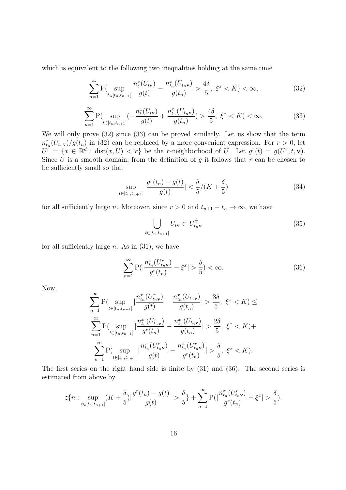which is equivalent to the following two inequalities holding at the same time

$$
\sum_{n=1}^{\infty} \mathcal{P}(\sup_{t \in [t_n, t_{n+1}]} \frac{n_t^x(U_{t\mathbf{v}})}{g(t)} - \frac{n_{t_n}^x(U_{t_n\mathbf{v}})}{g(t_n)} > \frac{4\delta}{5}, \ \xi^x < K) < \infty,\tag{32}
$$

$$
\sum_{n=1}^{\infty} \mathcal{P}(\sup_{t \in [t_n, t_{n+1}]} (-\frac{n_t^x(U_{t\mathbf{v}})}{g(t)} + \frac{n_{t_n}^x(U_{t_n\mathbf{v}})}{g(t_n)}) > \frac{4\delta}{5}, \ \xi^x < K) < \infty. \tag{33}
$$

We will only prove (32) since (33) can be proved similarly. Let us show that the term  $n_{t_n}^x(U_{t_n}\mathbf{v})/g(t_n)$  in (32) can be replaced by a more convenient expression. For  $r > 0$ , let  $U^r = \{x \in \mathbb{R}^d : \text{dist}(x, U) < r\}$  be the *r*-neighborhood of *U*. Let  $g^r(t) = g(U^r, t, \mathbf{v})$ . Since *U* is a smooth domain, from the definition of *g* it follows that *r* can be chosen to be sufficiently small so that

$$
\sup_{t \in [t_n, t_{n+1}]} |\frac{g^r(t_n) - g(t)}{g(t)}| < \frac{\delta}{5} / (K + \frac{\delta}{5}) \tag{34}
$$

for all sufficiently large *n*. Moreover, since  $r > 0$  and  $t_{n+1} - t_n \to \infty$ , we have

$$
\bigcup_{t \in [t_n, t_{n+1}]} U_{t\mathbf{v}} \subset U_{t_n \mathbf{v}}^{\frac{r}{2}} \tag{35}
$$

for all sufficiently large *n*. As in (31), we have

$$
\sum_{n=1}^{\infty} \mathcal{P}(|\frac{n_{t_n}^x(U_{t_n\mathbf{v}}^r)}{g^r(t_n)} - \xi^x| > \frac{\delta}{5}) < \infty.
$$
 (36)

Now,

$$
\sum_{n=1}^{\infty} \mathbf{P}(\sup_{t \in [t_n, t_{n+1}]} |\frac{n_{t_n}^x(U_{t_n \mathbf{v}}^r)}{g(t)} - \frac{n_{t_n}^x(U_{t_n \mathbf{v}}^r)}{g(t_n)}| > \frac{3\delta}{5}, \ \xi^x < K) \le
$$
\n
$$
\sum_{n=1}^{\infty} \mathbf{P}(\sup_{t \in [t_n, t_{n+1}]} |\frac{n_{t_n}^x(U_{t_n \mathbf{v}}^r)}{g^r(t_n)} - \frac{n_{t_n}^x(U_{t_n \mathbf{v}}^r)}{g(t_n)}| > \frac{2\delta}{5}, \ \xi^x < K) +
$$
\n
$$
\sum_{n=1}^{\infty} \mathbf{P}(\sup_{t \in [t_n, t_{n+1}]} |\frac{n_{t_n}^x(U_{t_n \mathbf{v}}^r)}{g(t)} - \frac{n_{t_n}^x(U_{t_n \mathbf{v}}^r)}{g^r(t_n)}| > \frac{\delta}{5}, \ \xi^x < K).
$$

The first series on the right hand side is finite by (31) and (36). The second series is estimated from above by

$$
\sharp\{n: \sup_{t\in[t_n,t_{n+1}]}(K+\frac{\delta}{5})|\frac{g^r(t_n)-g(t)}{g(t)}|>\frac{\delta}{5}\}+\sum_{n=1}^{\infty}\mathrm{P}(|\frac{n_{t_n}^x(U_{t_n\mathbf{v}}^r)}{g^r(t_n)}-\xi^x|>\frac{\delta}{5}).
$$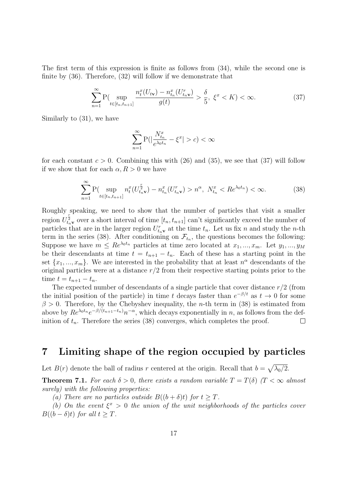The first term of this expression is finite as follows from (34), while the second one is finite by (36). Therefore, (32) will follow if we demonstrate that

$$
\sum_{n=1}^{\infty} \mathcal{P}(\sup_{t \in [t_n, t_{n+1}]} \frac{n_t^x(U_{t\mathbf{v}}) - n_{t_n}^x(U_{t_{n}\mathbf{v}}^r)}{g(t)} > \frac{\delta}{5}, \ \xi^x < K) < \infty. \tag{37}
$$

Similarly to (31), we have

$$
\sum_{n=1}^{\infty} \mathbf{P} \left( \left| \frac{N_{t_n}^x}{e^{\lambda_0 t_n}} - \xi^x \right| > c \right) < \infty
$$

for each constant  $c > 0$ . Combining this with (26) and (35), we see that (37) will follow if we show that for each  $\alpha, R > 0$  we have

$$
\sum_{n=1}^{\infty} \mathcal{P}(\sup_{t \in [t_n, t_{n+1}]} n_t^x (U_{t_n \mathbf{v}}^{\frac{r}{2}}) - n_{t_n}^x (U_{t_n \mathbf{v}}^r) > n^{\alpha}, \ N_{t_n}^x < Re^{\lambda_0 t_n}) < \infty.
$$
 (38)

Roughly speaking, we need to show that the number of particles that visit a smaller *r* region  $U_{t_n}^{\bar{2}}$  over a short interval of time  $[t_n, t_{n+1}]$  can't significantly exceed the number of particles that are in the larger region  $U_{t_n}^r$  at the time  $t_n$ . Let us fix *n* and study the *n*-th term in the series (38). After conditioning on  $\mathcal{F}_{t_n}$ , the questions becomes the following: Suppose we have  $m \leq Re^{\lambda_0 t_n}$  particles at time zero located at  $x_1, ..., x_m$ . Let  $y_1, ..., y_M$ be their descendants at time  $t = t_{n+1} - t_n$ . Each of these has a starting point in the set  ${x_1, ..., x_m}$ . We are interested in the probability that at least  $n^{\alpha}$  descendants of the original particles were at a distance *r/*2 from their respective starting points prior to the  $t = t_{n+1} - t_n$ .

The expected number of descendants of a single particle that cover distance *r/*2 (from the initial position of the particle) in time *t* decays faster than  $e^{-\beta/t}$  as  $t \to 0$  for some  $\beta > 0$ . Therefore, by the Chebyshev inequality, the *n*-th term in (38) is estimated from above by  $Re^{\lambda_0 t_n} e^{-\beta/(t_{n+1}-t_n)} n^{-\alpha}$ , which decays exponentially in *n*, as follows from the definition of  $t_n$ . Therefore the series  $(38)$  converges, which completes the proof.  $\Box$ 

### **7 Limiting shape of the region occupied by particles**

Let  $B(r)$  denote the ball of radius *r* centered at the origin. Recall that  $b = \sqrt{\lambda_0/2}$ .

**Theorem 7.1.** For each  $\delta > 0$ , there exists a random variable  $T = T(\delta)$  ( $T < \infty$  almost *surely) with the following properties:*

*(a)* There are no particles outside  $B((b + \delta)t)$  for  $t \geq T$ .

*(b)* On the event  $\xi^x > 0$  the union of the unit neighborhoods of the particles cover *B*( $(b - \delta)t$ ) *for all*  $t > T$ *.*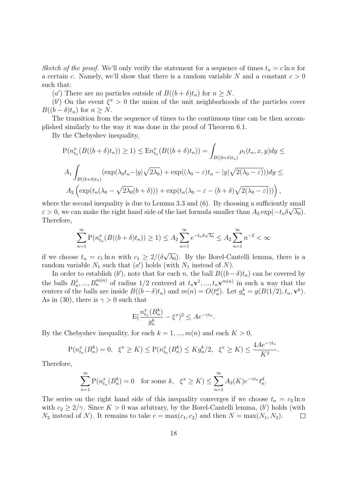*Sketch of the proof.* We'll only verify the statement for a sequence of times  $t_n = c \ln n$  for a certain *c*. Namely, we'll show that there is a random variable N and a constant  $c > 0$ such that:

(*a*<sup> $\prime$ </sup>) There are no particles outside of  $B((b + \delta)t_n)$  for  $n \geq N$ .

(*b'*) On the event  $\xi^x > 0$  the union of the unit neighborhoods of the particles cover *B*( $(b - \delta)t_n$ ) for  $n \geq N$ .

The transition from the sequence of times to the continuous time can be then accomplished similarly to the way it was done in the proof of Theorem 6.1.

By the Chebyshev inequality,

$$
P(n_{t_n}^x(B((b+\delta)t_n)) \ge 1) \le En_{t_n}^x(B((b+\delta)t_n)) = \int_{B((b+\delta)t_n)} \rho_1(t_n, x, y) dy \le
$$
  
\n
$$
A_1 \int_{B((b+\delta)t_n)} (\exp(\lambda_0 t_n - |y|\sqrt{2\lambda_0}) + \exp((\lambda_0 - \varepsilon)t_n - |y|\sqrt{2(\lambda_0 - \varepsilon)})) dy \le
$$
  
\n
$$
A_2 \left( \exp(t_n(\lambda_0 - \sqrt{2\lambda_0}(b+\delta))) + \exp(t_n(\lambda_0 - \varepsilon - (b+\delta)\sqrt{2(\lambda_0 - \varepsilon)})) \right),
$$

where the second inequality is due to Lemma 3.3 and  $(6)$ . By choosing a sufficiently small  $\varepsilon > 0$ , we can make the right hand side of the last formula smaller than  $A_2 \exp(-t_n \delta \sqrt{\lambda_0})$ . Therefore,

$$
\sum_{n=1}^{\infty} P(n_{t_n}^x(B((b+\delta)t_n)) \ge 1) \le A_2 \sum_{n=1}^{\infty} e^{-t_n \delta \sqrt{\lambda_0}} \le A_2 \sum_{n=1}^{\infty} n^{-2} < \infty
$$

if we choose  $t_n = c_1 \ln n$  with  $c_1 \geq 2/(\delta)$  $\overline{\lambda_0}$ ). By the Borel-Cantelli lemma, there is a random variable  $N_1$  such that  $(a')$  holds (with  $N_1$  instead of  $N$ ).

In order to establish  $(b')$ , note that for each *n*, the ball  $B((b - \delta)t_n)$  can be covered by the balls  $B_n^1, ..., B_n^{m(n)}$  of radius  $1/2$  centered at  $t_n \mathbf{v}^1, ..., t_n \mathbf{v}^{m(n)}$  in such a way that the centers of the balls are inside  $B((b - \delta)t_n)$  and  $m(n) = O(t_n^d)$ . Let  $g_n^k = g(B(1/2), t_n, \mathbf{v}^k)$ . As in (30), there is  $\gamma > 0$  such that

$$
E\left(\frac{n_{t_n}^x(B_n^k)}{g_n^k} - \xi^x\right)^2 \le A e^{-\gamma t_n}.
$$

By the Chebyshev inequality, for each  $k = 1, ..., m(n)$  and each  $K > 0$ ,

$$
P(n_{t_n}^x(B_n^k) = 0, \ \xi^x \ge K) \le P(n_{t_n}^x(B_n^k) \le Kg_n^k/2, \ \xi^x \ge K) \le \frac{4Ae^{-\gamma t_n}}{K^2}.
$$

Therefore,

$$
\sum_{n=1}^{\infty} \mathcal{P}(n_{t_n}^x(B_n^k) = 0 \quad \text{for some } k, \ \xi^x \ge K) \le \sum_{n=1}^{\infty} A_2(K) e^{-\gamma t_n} t_n^d.
$$

The series on the right hand side of this inequality converges if we choose  $t_n = c_2 \ln n$ with  $c_2 \geq 2/\gamma$ . Since  $K > 0$  was arbitrary, by the Borel-Cantelli lemma,  $(b')$  holds (with  $N_2$  instead of *N*). It remains to take  $c = \max(c_1, c_2)$  and then  $N = \max(N_1, N_2)$ .  $\Box$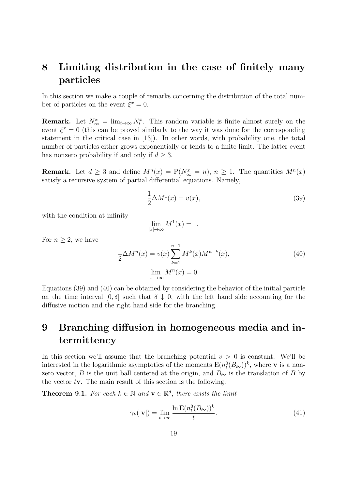### **8 Limiting distribution in the case of finitely many particles**

In this section we make a couple of remarks concerning the distribution of the total number of particles on the event  $\xi^x = 0$ .

**Remark.** Let  $N^x_{\infty} = \lim_{t \to \infty} N^x_t$ . This random variable is finite almost surely on the event  $\xi^x = 0$  (this can be proved similarly to the way it was done for the corresponding statement in the critical case in [13]). In other words, with probability one, the total number of particles either grows exponentially or tends to a finite limit. The latter event has nonzero probability if and only if  $d \geq 3$ .

**Remark.** Let  $d \geq 3$  and define  $M^n(x) = P(N^x_{\infty} = n)$ ,  $n \geq 1$ . The quantities  $M^n(x)$ satisfy a recursive system of partial differential equations. Namely,

$$
\frac{1}{2}\Delta M^1(x) = v(x),\tag{39}
$$

with the condition at infinity

$$
\lim_{|x| \to \infty} M^1(x) = 1.
$$

For  $n \geq 2$ , we have

$$
\frac{1}{2}\Delta M^{n}(x) = v(x) \sum_{k=1}^{n-1} M^{k}(x)M^{n-k}(x),
$$
\n
$$
\lim_{|x| \to \infty} M^{n}(x) = 0.
$$
\n(40)

Equations (39) and (40) can be obtained by considering the behavior of the initial particle on the time interval  $[0, \delta]$  such that  $\delta \downarrow 0$ , with the left hand side accounting for the diffusive motion and the right hand side for the branching.

### **9 Branching diffusion in homogeneous media and intermittency**

In this section we'll assume that the branching potential  $v > 0$  is constant. We'll be interested in the logarithmic asymptotics of the moments  $E(n_t^0(B_{t\mathbf{v}}))^k$ , where **v** is a nonzero vector, *B* is the unit ball centered at the origin, and  $B_{t\mathbf{v}}$  is the translation of *B* by the vector *t***v**. The main result of this section is the following.

**Theorem 9.1.** *For each*  $k \in \mathbb{N}$  *and*  $\mathbf{v} \in \mathbb{R}^d$ *, there exists the limit* 

$$
\gamma_k(|\mathbf{v}|) = \lim_{t \to \infty} \frac{\ln \mathcal{E}(n_t^0(B_{t\mathbf{v}}))^k}{t}.
$$
\n(41)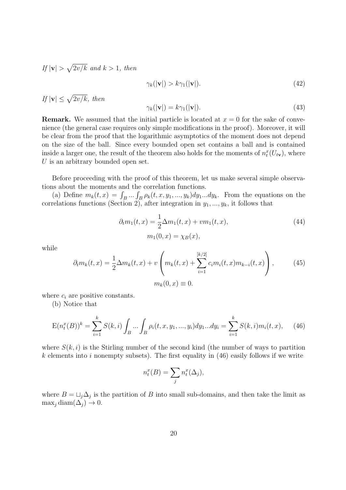*If*  $|\mathbf{v}| > \sqrt{2v/k}$  *and*  $k > 1$ *, then* 

$$
\gamma_k(|\mathbf{v}|) > k\gamma_1(|\mathbf{v}|). \tag{42}
$$

If 
$$
|\mathbf{v}| \le \sqrt{2v/k}
$$
, then  
\n
$$
\gamma_k(|\mathbf{v}|) = k\gamma_1(|\mathbf{v}|). \tag{43}
$$

**Remark.** We assumed that the initial particle is located at  $x = 0$  for the sake of convenience (the general case requires only simple modifications in the proof). Moreover, it will be clear from the proof that the logarithmic asymptotics of the moment does not depend on the size of the ball. Since every bounded open set contains a ball and is contained inside a larger one, the result of the theorem also holds for the moments of  $n_t^x(U_{t\mathbf{v}})$ , where *U* is an arbitrary bounded open set.

Before proceeding with the proof of this theorem, let us make several simple observations about the moments and the correlation functions.

(a) Define  $m_k(t, x) = \int_B \ldots \int_B \rho_k(t, x, y_1, \ldots, y_k) dy_1 \ldots dy_k$ . From the equations on the correlations functions (Section 2), after integration in  $y_1, \ldots, y_k$ , it follows that

$$
\partial_t m_1(t, x) = \frac{1}{2} \Delta m_1(t, x) + v m_1(t, x),
$$
  
\n
$$
m_1(0, x) = \chi_B(x),
$$
\n(44)

while

$$
\partial_t m_k(t, x) = \frac{1}{2} \Delta m_k(t, x) + v \left( m_k(t, x) + \sum_{i=1}^{[k/2]} c_i m_i(t, x) m_{k-i}(t, x) \right),
$$
\n
$$
m_k(0, x) \equiv 0.
$$
\n(45)

where  $c_i$  are positive constants.

(b) Notice that

$$
E(n_t^x(B))^k = \sum_{i=1}^k S(k,i) \int_B \dots \int_B \rho_i(t,x,y_1,\dots,y_i) dy_1 \dots dy_i = \sum_{i=1}^k S(k,i)m_i(t,x), \quad (46)
$$

where  $S(k, i)$  is the Stirling number of the second kind (the number of ways to partition *k* elements into *i* nonempty subsets). The first equality in (46) easily follows if we write

$$
n_t^x(B) = \sum_j n_t^x(\Delta_j),
$$

where  $B = \bigcup_j \Delta_j$  is the partition of *B* into small sub-domains, and then take the limit as  $\max_j \text{diam}(\Delta_j) \to 0.$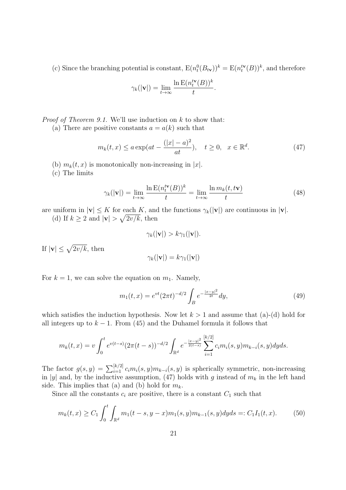(c) Since the branching potential is constant,  $E(n_t^0(B_{t\mathbf{v}}))^k = E(n_t^{t\mathbf{v}}(B))^k$ , and therefore

$$
\gamma_k(|\mathbf{v}|) = \lim_{t \to \infty} \frac{\ln \mathcal{E}(n_t^{t\mathbf{v}}(B))^k}{t}.
$$

*Proof of Theorem 9.1.* We'll use induction on *k* to show that:

(a) There are positive constants  $a = a(k)$  such that

$$
m_k(t, x) \le a \exp(at - \frac{(|x| - a)^2}{at}), \quad t \ge 0, \quad x \in \mathbb{R}^d.
$$
 (47)

(b)  $m_k(t, x)$  is monotonically non-increasing in  $|x|$ .

(c) The limits

$$
\gamma_k(|\mathbf{v}|) = \lim_{t \to \infty} \frac{\ln \mathcal{E}(n_t^{t\mathbf{v}}(B))^k}{t} = \lim_{t \to \infty} \frac{\ln m_k(t, t\mathbf{v})}{t}
$$
(48)

are uniform in  $|\mathbf{v}| \leq K$  for each K, and the functions  $\gamma_k(|\mathbf{v}|)$  are continuous in  $|\mathbf{v}|$ . (d) If  $k \geq 2$  and  $|\mathbf{v}| > \sqrt{2v/k}$ , then

$$
\gamma_k(|{\bf v}|) > k\gamma_1(|{\bf v}|).
$$

If  $|\mathbf{v}| \leq \sqrt{2v/k}$ , then

$$
\gamma_k(|\mathbf{v}|)=k\gamma_1(|\mathbf{v}|)
$$

For  $k = 1$ , we can solve the equation on  $m_1$ . Namely,

$$
m_1(t,x) = e^{vt} (2\pi t)^{-d/2} \int_B e^{-\frac{|x-y|^2}{2t}} dy,
$$
\n(49)

which satisfies the induction hypothesis. Now let  $k > 1$  and assume that (a)-(d) hold for all integers up to  $k-1$ . From (45) and the Duhamel formula it follows that

$$
m_k(t,x) = v \int_0^t e^{v(t-s)} (2\pi(t-s))^{-d/2} \int_{\mathbb{R}^d} e^{-\frac{|x-y|^2}{2(t-s)}} \sum_{i=1}^{[k/2]} c_i m_i(s,y) m_{k-i}(s,y) dy ds.
$$

The factor  $g(s, y) = \sum_{i=1}^{[k/2]} c_i m_i(s, y) m_{k-i}(s, y)$  is spherically symmetric, non-increasing in |*y*| and, by the inductive assumption, (47) holds with *g* instead of  $m_k$  in the left hand side. This implies that (a) and (b) hold for  $m_k$ .

Since all the constants  $c_i$  are positive, there is a constant  $C_1$  such that

$$
m_k(t,x) \ge C_1 \int_0^t \int_{\mathbb{R}^d} m_1(t-s, y-x) m_1(s, y) m_{k-1}(s, y) dy ds =: C_1 I_1(t,x). \tag{50}
$$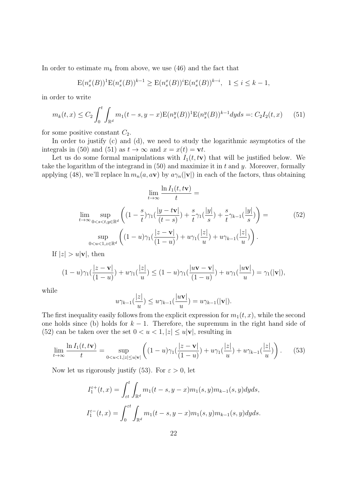In order to estimate  $m_k$  from above, we use (46) and the fact that

$$
E(n_s^x(B))^1 E(n_s^x(B))^{k-1} \ge E(n_s^x(B))^i E(n_s^x(B))^{k-i}, \quad 1 \le i \le k-1,
$$

in order to write

$$
m_k(t,x) \le C_2 \int_0^t \int_{\mathbb{R}^d} m_1(t-s, y-x) \mathcal{E}(n_s^y(B))^1 \mathcal{E}(n_s^y(B))^{k-1} dy ds =: C_2 I_2(t,x) \tag{51}
$$

for some positive constant  $C_2$ .

In order to justify (c) and (d), we need to study the logarithmic asymptotics of the integrals in (50) and (51) as  $t \to \infty$  and  $x = x(t) = \mathbf{v}t$ .

Let us do some formal manipulations with  $I_1(t,t\mathbf{v})$  that will be justified below. We take the logarithm of the integrand in (50) and maximize it in *t* and *y*. Moreover, formally applying (48), we'll replace  $\ln m_n(a, a\mathbf{v})$  by  $a\gamma_n(|\mathbf{v}|)$  in each of the factors, thus obtaining

$$
\lim_{t \to \infty} \frac{\ln I_1(t, t\mathbf{v})}{t} =
$$
\n
$$
\lim_{t \to \infty} \sup_{0 < s < t, y \in \mathbb{R}^d} \left( (1 - \frac{s}{t}) \gamma_1 \left( \frac{|y - t\mathbf{v}|}{(t - s)} \right) + \frac{s}{t} \gamma_1 \left( \frac{|y|}{s} \right) + \frac{s}{t} \gamma_{k-1} \left( \frac{|y|}{s} \right) \right) =
$$
\n
$$
\sup_{0 < u < 1, z \in \mathbb{R}^d} \left( (1 - u) \gamma_1 \left( \frac{|z - \mathbf{v}|}{(1 - u)} \right) + u \gamma_1 \left( \frac{|z|}{u} \right) + u \gamma_{k-1} \left( \frac{|z|}{u} \right) \right).
$$
\n
$$
(52)
$$

If  $|z| > u$ **|v**|, then

$$
(1-u)\gamma_1(\frac{|z-\mathbf{v}|}{(1-u)})+u\gamma_1(\frac{|z|}{u})\leq (1-u)\gamma_1(\frac{|u\mathbf{v}-\mathbf{v}|}{(1-u)})+u\gamma_1(\frac{|u\mathbf{v}|}{u})=\gamma_1(|\mathbf{v}|),
$$

while

$$
u\gamma_{k-1}(\frac{|z|}{u}) \le u\gamma_{k-1}(\frac{|u\mathbf{v}|}{u}) = u\gamma_{k-1}(|\mathbf{v}|).
$$

The first inequality easily follows from the explicit expression for  $m_1(t, x)$ , while the second one holds since (b) holds for *k −* 1. Therefore, the supremum in the right hand side of (52) can be taken over the set  $0 < u < 1, |z| \le u |\mathbf{v}|$ , resulting in

$$
\lim_{t \to \infty} \frac{\ln I_1(t, t\mathbf{v})}{t} = \sup_{0 < u < 1, |z| \le u|\mathbf{v}|} \left( (1 - u)\gamma_1(\frac{|z - \mathbf{v}|}{(1 - u)}) + u\gamma_1(\frac{|z|}{u}) + u\gamma_{k-1}(\frac{|z|}{u}) \right). \tag{53}
$$

Now let us rigorously justify (53). For  $\varepsilon > 0$ , let

$$
I_1^{\varepsilon+}(t,x) = \int_{\varepsilon t}^t \int_{\mathbb{R}^d} m_1(t-s, y-x) m_1(s, y) m_{k-1}(s, y) dy ds,
$$
  

$$
I_1^{\varepsilon-}(t,x) = \int_0^{\varepsilon t} \int_{\mathbb{R}^d} m_1(t-s, y-x) m_1(s, y) m_{k-1}(s, y) dy ds.
$$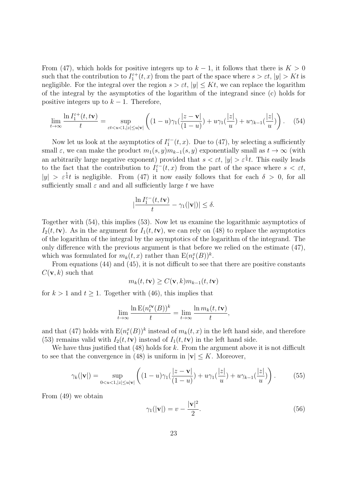From (47), which holds for positive integers up to  $k-1$ , it follows that there is  $K > 0$ such that the contribution to  $I_1^{\varepsilon+}(t, x)$  from the part of the space where  $s > \varepsilon t$ ,  $|y| > Kt$  is negligible. For the integral over the region  $s > \varepsilon t$ ,  $|y| \leq Kt$ , we can replace the logarithm of the integral by the asymptotics of the logarithm of the integrand since (c) holds for positive integers up to  $k-1$ . Therefore,

$$
\lim_{t \to \infty} \frac{\ln I_1^{\varepsilon+}(t, t\mathbf{v})}{t} = \sup_{\varepsilon t < u < 1, |z| \le u|\mathbf{v}|} \left( (1 - u)\gamma_1(\frac{|z - \mathbf{v}|}{(1 - u)}) + u\gamma_1(\frac{|z|}{u}) + u\gamma_{k-1}(\frac{|z|}{u}) \right). \tag{54}
$$

Now let us look at the asymptotics of  $I_1^{\varepsilon-}(t, x)$ . Due to (47), by selecting a sufficiently small  $\varepsilon$ , we can make the product  $m_1(s, y)m_{k-1}(s, y)$  exponentially small as  $t \to \infty$  (with an arbitrarily large negative exponent) provided that  $s < \varepsilon t$ ,  $|y| > \varepsilon^{\frac{1}{4}}t$ . This easily leads to the fact that the contribution to  $I_1^{\varepsilon^-}(t,x)$  from the part of the space where  $s < \varepsilon t$ ,  $|y| > \varepsilon^{\frac{1}{4}}t$  is negligible. From (47) it now easily follows that for each  $\delta > 0$ , for all sufficiently small  $\varepsilon$  and and all sufficiently large  $t$  we have

$$
|\frac{\ln I_1^{\varepsilon-}(t,t\mathbf{v})}{t} - \gamma_1(|\mathbf{v}|)| \le \delta.
$$

Together with (54), this implies (53). Now let us examine the logarithmic asymptotics of  $I_2(t,t\mathbf{v})$ . As in the argument for  $I_1(t,t\mathbf{v})$ , we can rely on (48) to replace the asymptotics of the logarithm of the integral by the asymptotics of the logarithm of the integrand. The only difference with the previous argument is that before we relied on the estimate (47), which was formulated for  $m_k(t, x)$  rather than  $E(n_t^x(B))^k$ .

From equations (44) and (45), it is not difficult to see that there are positive constants  $C(\mathbf{v},k)$  such that

$$
m_k(t, t\mathbf{v}) \ge C(\mathbf{v}, k) m_{k-1}(t, t\mathbf{v})
$$

for  $k > 1$  and  $t \geq 1$ . Together with (46), this implies that

$$
\lim_{t \to \infty} \frac{\ln \mathcal{E}(n_t^{t\mathbf{v}}(B))^k}{t} = \lim_{t \to \infty} \frac{\ln m_k(t, t\mathbf{v})}{t},
$$

and that (47) holds with  $E(n_t^x(B))^k$  instead of  $m_k(t, x)$  in the left hand side, and therefore (53) remains valid with  $I_2(t, t\mathbf{v})$  instead of  $I_1(t, t\mathbf{v})$  in the left hand side.

We have thus justified that (48) holds for *k*. From the argument above it is not difficult to see that the convergence in (48) is uniform in  $|\mathbf{v}| \leq K$ . Moreover,

$$
\gamma_k(|\mathbf{v}|) = \sup_{0 < u < 1, |z| \le u|\mathbf{v}|} \left( (1-u)\gamma_1(\frac{|z - \mathbf{v}|}{(1-u)}) + u\gamma_1(\frac{|z|}{u}) + u\gamma_{k-1}(\frac{|z|}{u}) \right). \tag{55}
$$

From (49) we obtain

$$
\gamma_1(|\mathbf{v}|) = v - \frac{|\mathbf{v}|^2}{2}.\tag{56}
$$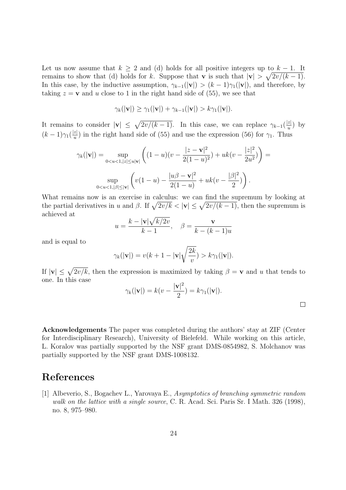Let us now assume that  $k \geq 2$  and (d) holds for all positive integers up to  $k-1$ . It remains to show that (d) holds for *k*. Suppose that **v** is such that  $|\mathbf{v}| > \sqrt{\frac{2v}{k-1}}$ . In this case, by the inductive assumption,  $\gamma_{k-1}(|{\bf v}|) > (k-1)\gamma_1(|{\bf v}|)$ , and therefore, by taking  $z = \mathbf{v}$  and *u* close to 1 in the right hand side of (55), we see that

$$
\gamma_k(|\mathbf{v}|) \geq \gamma_1(|\mathbf{v}|) + \gamma_{k-1}(|\mathbf{v}|) > k\gamma_1(|\mathbf{v}|).
$$

It remains to consider  $|\mathbf{v}| \leq \sqrt{\frac{2v}{k-1}}$ . In this case, we can replace  $\gamma_{k-1}(\frac{|z|}{u})$  by  $(k-1)\gamma_1(\frac{|z|}{u})$  in the right hand side of (55) and use the expression (56) for  $\gamma_1$ . Thus

$$
\gamma_k(|\mathbf{v}|) = \sup_{0 < u < 1, |z| \le u|\mathbf{v}|} \left( (1-u)(v - \frac{|z - \mathbf{v}|^2}{2(1-u)^2}) + uk(v - \frac{|z|^2}{2u^2}) \right) =
$$
\n
$$
\sup_{0 < u < 1, |\beta| \le |\mathbf{v}|} \left( v(1-u) - \frac{|u\beta - \mathbf{v}|^2}{2(1-u)} + uk(v - \frac{|\beta|^2}{2}) \right).
$$

What remains now is an exercise in calculus: we can find the supremum by looking at the partial derivatives in *u* and *β*. If  $\sqrt{2v/k} < |v| \leq \sqrt{2v/(k-1)}$ , then the supremum is achieved at

$$
u = \frac{k - |\mathbf{v}| \sqrt{k/2v}}{k - 1}, \quad \beta = \frac{\mathbf{v}}{k - (k - 1)u}
$$

and is equal to

$$
\gamma_k(|\mathbf{v}|) = v(k+1-|\mathbf{v}|\sqrt{\frac{2k}{v}}) > k\gamma_1(|\mathbf{v}|).
$$

If  $|\mathbf{v}| \leq \sqrt{2v/k}$ , then the expression is maximized by taking  $\beta = \mathbf{v}$  and *u* that tends to one. In this case

$$
\gamma_k(|\mathbf{v}|) = k(v - \frac{|\mathbf{v}|^2}{2}) = k\gamma_1(|\mathbf{v}|).
$$

**Acknowledgements** The paper was completed during the authors' stay at ZIF (Center for Interdisciplinary Research), University of Bielefeld. While working on this article, L. Koralov was partially supported by the NSF grant DMS-0854982, S. Molchanov was partially supported by the NSF grant DMS-1008132.

### **References**

[1] Albeverio, S., Bogachev L., Yarovaya E., *Asymptotics of branching symmetric random walk on the lattice with a single source*, C. R. Acad. Sci. Paris Sr. I Math. 326 (1998), no. 8, 975–980.